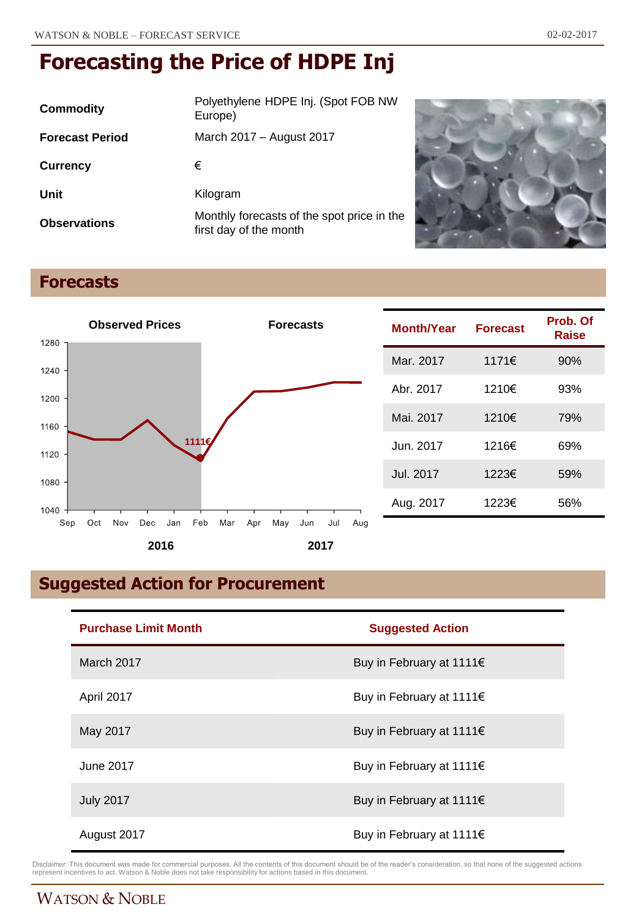| Commodity              | Polyethylene HDPE Inj. (Spot FOB NW<br>Europe)                       |
|------------------------|----------------------------------------------------------------------|
| <b>Forecast Period</b> | March 2017 - August 2017                                             |
| <b>Currency</b>        | €                                                                    |
| Unit                   | Kilogram                                                             |
| <b>Observations</b>    | Monthly forecasts of the spot price in the<br>first day of the month |



# **Forecasts**



| <b>Month/Year</b> | <b>Forecast</b> | Prob. Of<br>Raise |
|-------------------|-----------------|-------------------|
| Mar. 2017         | 1171€           | 90%               |
| Abr. 2017         | 1210€           | 93%               |
| Mai. 2017         | 1210€           | 79%               |
| Jun. 2017         | 1216€           | 69%               |
| Jul. 2017         | 1223€           | 59%               |
| Aug. 2017         | 1223€           | 56%               |

# **Suggested Action for Procurement**

| <b>Purchase Limit Month</b> | <b>Suggested Action</b>  |
|-----------------------------|--------------------------|
| March 2017                  | Buy in February at 1111€ |
| April 2017                  | Buy in February at 1111€ |
| May 2017                    | Buy in February at 1111€ |
| June 2017                   | Buy in February at 1111€ |
| <b>July 2017</b>            | Buy in February at 1111€ |
| August 2017                 | Buy in February at 1111€ |

Disclaimer: This document was made for commercial purposes. All the contents of this document should be of the reader's consideration, so that none of the suggested actions<br>represent incentives to act. Watson & Noble does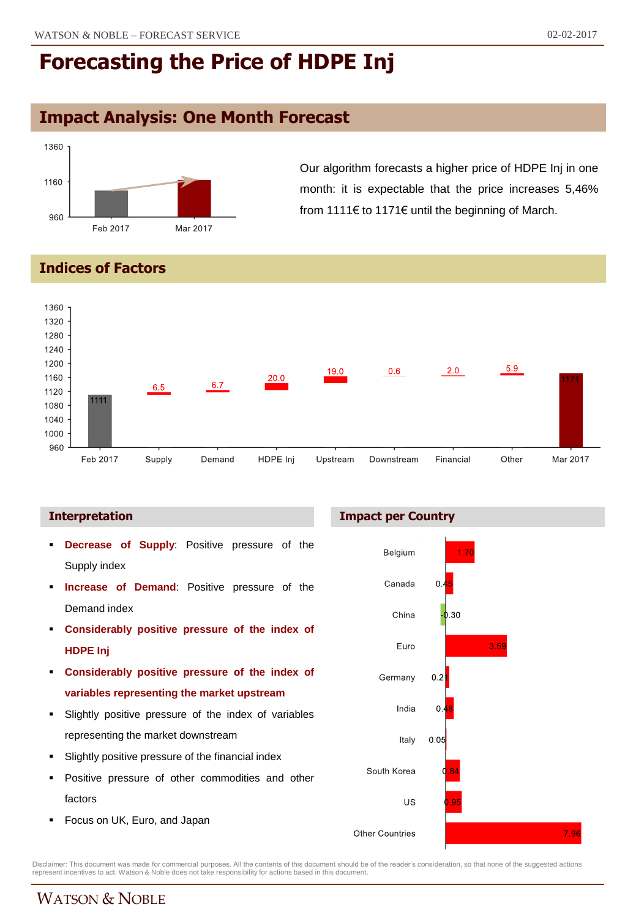# **Impact Analysis: One Month Forecast**



Our algorithm forecasts a higher price of HDPE Inj in one month: it is expectable that the price increases 5,46% from 1111€ to 1171€ until the beginning of March.

**Indices of Factors**



#### **Interpretation**

- **Decrease of Supply**: Positive pressure of the Supply index
- **Increase of Demand**: Positive pressure of the Demand index
- **Considerably positive pressure of the index of HDPE Inj**
- **Considerably positive pressure of the index of variables representing the market upstream**
- Slightly positive pressure of the index of variables representing the market downstream
- Slightly positive pressure of the financial index
- Positive pressure of other commodities and other factors
- Focus on UK, Euro, and Japan

#### **Impact per Country**



Disclaimer: This document was made for commercial purposes. All the contents of this document should be of the reader's consideration, so that none of the suggested actions<br>represent incentives to act. Watson & Noble does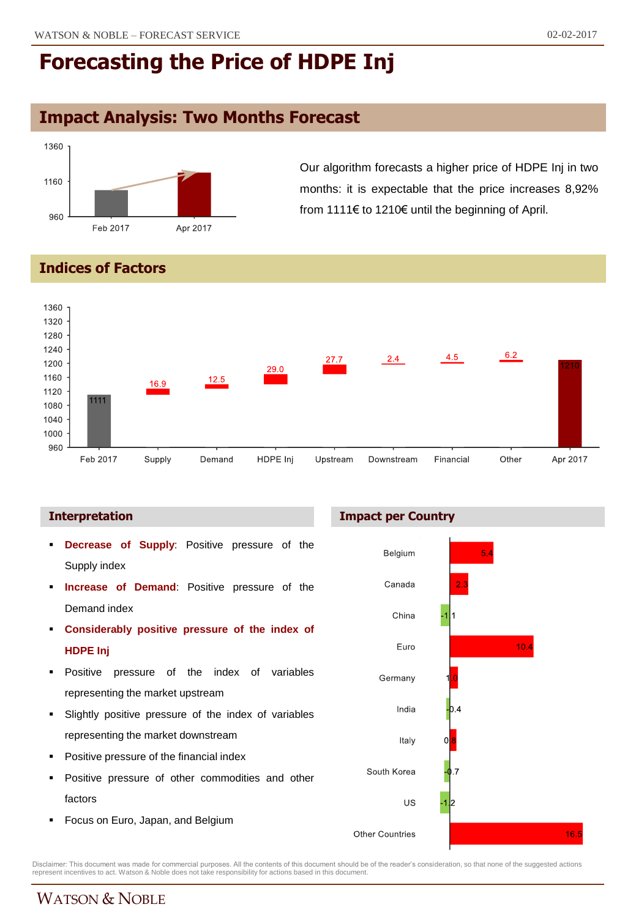# **Impact Analysis: Two Months Forecast**



Our algorithm forecasts a higher price of HDPE Inj in two months: it is expectable that the price increases 8,92% from 1111€ to 1210€ until the beginning of April.

### **Indices of Factors**



- **Decrease of Supply**: Positive pressure of the Supply index
- **Increase of Demand**: Positive pressure of the Demand index
- **Considerably positive pressure of the index of HDPE Inj**
- Positive pressure of the index of variables representing the market upstream
- Slightly positive pressure of the index of variables representing the market downstream
- Positive pressure of the financial index
- **Positive pressure of other commodities and other** factors
- **Focus on Euro, Japan, and Belgium**





Disclaimer: This document was made for commercial purposes. All the contents of this document should be of the reader's consideration, so that none of the suggested actions<br>represent incentives to act. Watson & Noble does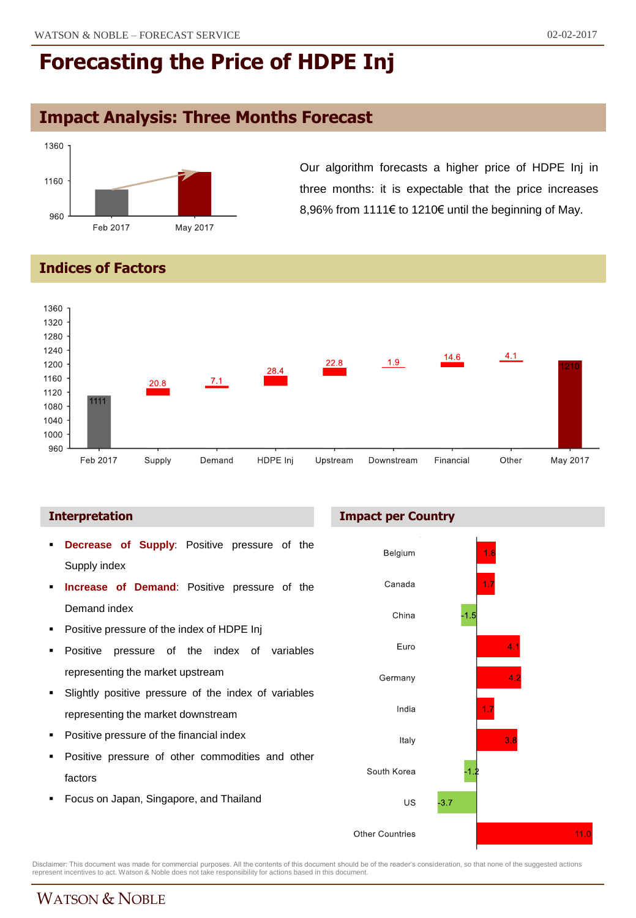# **Impact Analysis: Three Months Forecast**



Our algorithm forecasts a higher price of HDPE Inj in three months: it is expectable that the price increases 8,96% from 1111€ to 1210€ until the beginning of May.

### **Indices of Factors**



- **Decrease of Supply**: Positive pressure of the Supply index
- **Increase of Demand**: Positive pressure of the Demand index
- Positive pressure of the index of HDPE Inj
- Positive pressure of the index of variables representing the market upstream
- Slightly positive pressure of the index of variables representing the market downstream
- Positive pressure of the financial index
- Positive pressure of other commodities and other factors
- Focus on Japan, Singapore, and Thailand





Disclaimer: This document was made for commercial purposes. All the contents of this document should be of the reader's consideration, so that none of the suggested actions<br>represent incentives to act. Watson & Noble does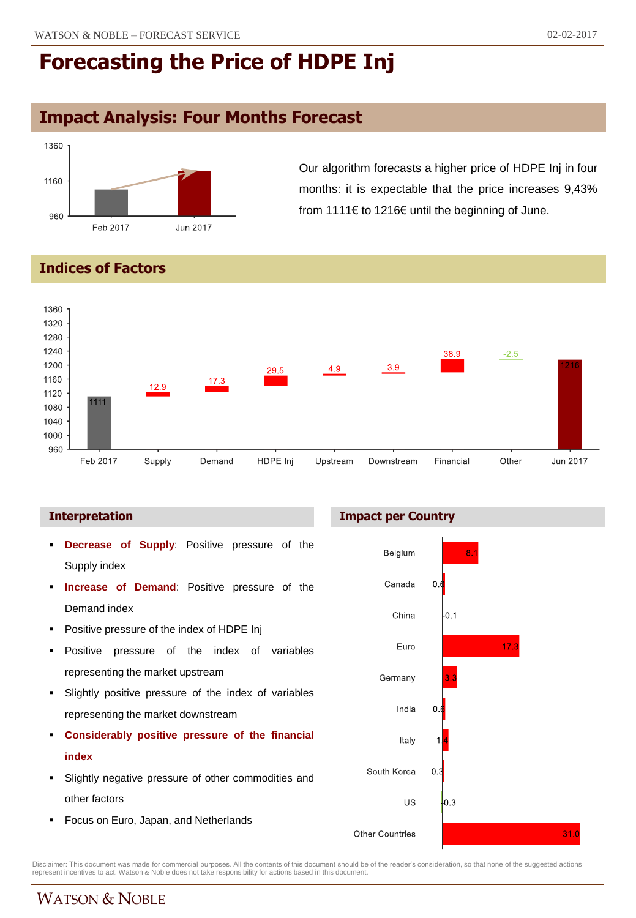# **Impact Analysis: Four Months Forecast**



Our algorithm forecasts a higher price of HDPE Inj in four months: it is expectable that the price increases 9,43% from 1111€ to 1216€ until the beginning of June.

### **Indices of Factors**



- **Decrease of Supply**: Positive pressure of the Supply index
- **Increase of Demand**: Positive pressure of the Demand index
- Positive pressure of the index of HDPE Inj
- Positive pressure of the index of variables representing the market upstream
- Slightly positive pressure of the index of variables representing the market downstream
- **Considerably positive pressure of the financial index**
- Slightly negative pressure of other commodities and other factors
- **Focus on Euro, Japan, and Netherlands**

#### **Interpretation Impact per Country**



Disclaimer: This document was made for commercial purposes. All the contents of this document should be of the reader's consideration, so that none of the suggested actions<br>represent incentives to act. Watson & Noble does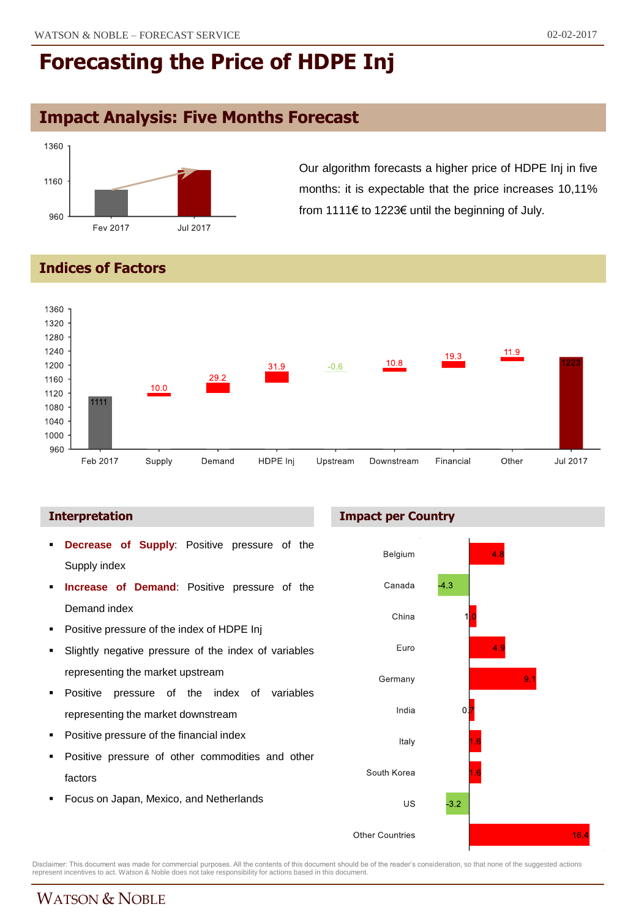# **Impact Analysis: Five Months Forecast**



Our algorithm forecasts a higher price of HDPE Inj in five months: it is expectable that the price increases 10,11% from 1111€ to 1223€ until the beginning of July.

## **Indices of Factors**



- **Decrease of Supply**: Positive pressure of the Supply index
- **Increase of Demand**: Positive pressure of the Demand index
- **•** Positive pressure of the index of HDPE Inj
- Slightly negative pressure of the index of variables representing the market upstream
- **Positive pressure of the index of variables** representing the market downstream
- Positive pressure of the financial index
- Positive pressure of other commodities and other factors
- Focus on Japan, Mexico, and Netherlands





Disclaimer: This document was made for commercial purposes. All the contents of this document should be of the reader's consideration, so that none of the suggested actions<br>represent incentives to act. Watson & Noble does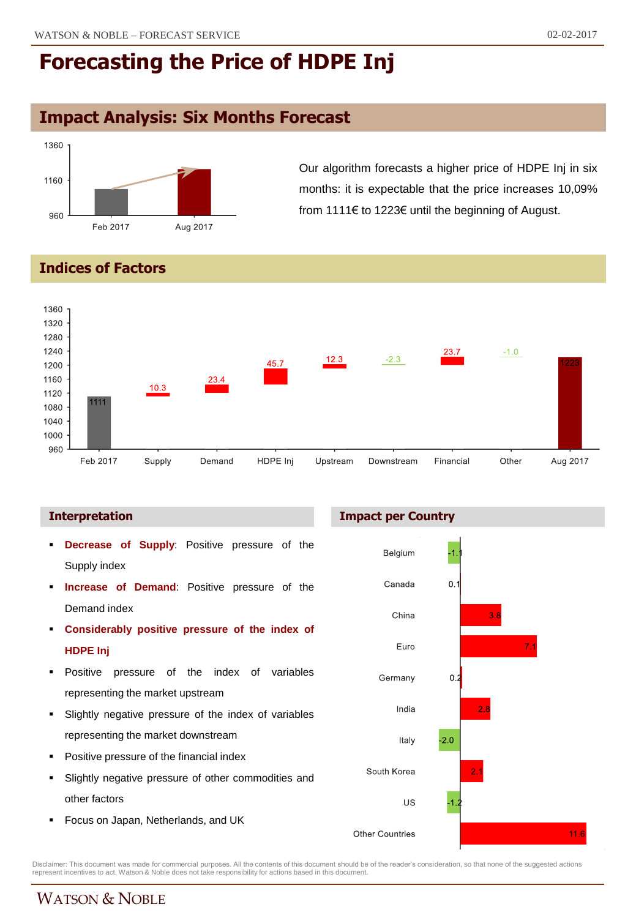# **Impact Analysis: Six Months Forecast**



Our algorithm forecasts a higher price of HDPE Inj in six months: it is expectable that the price increases 10,09% from 1111€ to 1223€ until the beginning of August.

## **Indices of Factors**



- **Decrease of Supply**: Positive pressure of the Supply index
- **Increase of Demand**: Positive pressure of the Demand index
- **Considerably positive pressure of the index of HDPE Inj**
- Positive pressure of the index of variables representing the market upstream
- Slightly negative pressure of the index of variables representing the market downstream
- Positive pressure of the financial index
- Slightly negative pressure of other commodities and other factors
- **Focus on Japan, Netherlands, and UK**





Disclaimer: This document was made for commercial purposes. All the contents of this document should be of the reader's consideration, so that none of the suggested actions<br>represent incentives to act. Watson & Noble does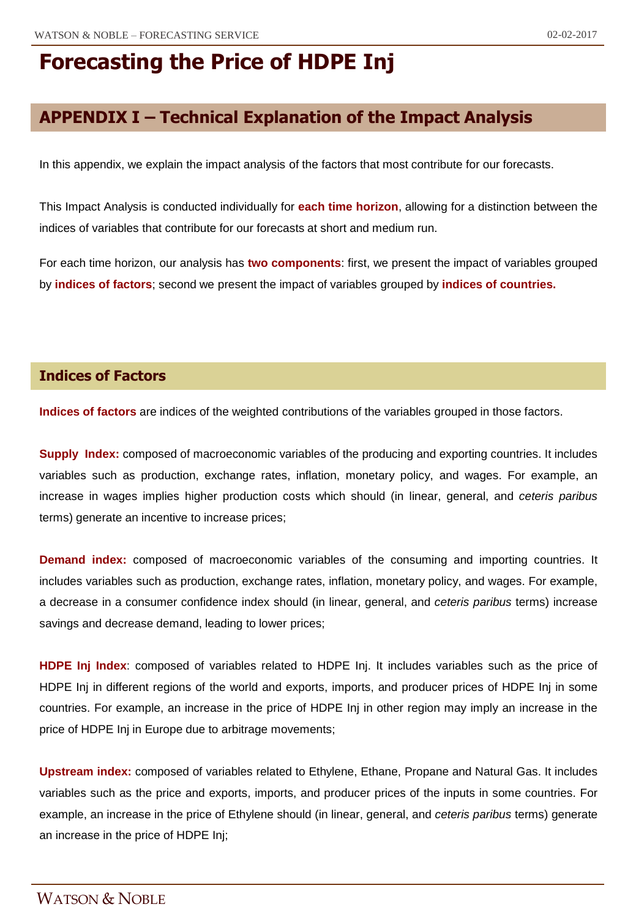# **APPENDIX I – Technical Explanation of the Impact Analysis**

In this appendix, we explain the impact analysis of the factors that most contribute for our forecasts.

This Impact Analysis is conducted individually for **each time horizon**, allowing for a distinction between the indices of variables that contribute for our forecasts at short and medium run.

For each time horizon, our analysis has **two components**: first, we present the impact of variables grouped by **indices of factors**; second we present the impact of variables grouped by **indices of countries.**

### **Indices of Factors**

**Indices of factors** are indices of the weighted contributions of the variables grouped in those factors.

**Supply Index:** composed of macroeconomic variables of the producing and exporting countries. It includes variables such as production, exchange rates, inflation, monetary policy, and wages. For example, an increase in wages implies higher production costs which should (in linear, general, and *ceteris paribus* terms) generate an incentive to increase prices;

**Demand index:** composed of macroeconomic variables of the consuming and importing countries. It includes variables such as production, exchange rates, inflation, monetary policy, and wages. For example, a decrease in a consumer confidence index should (in linear, general, and *ceteris paribus* terms) increase savings and decrease demand, leading to lower prices;

**HDPE Inj Index**: composed of variables related to HDPE Inj. It includes variables such as the price of HDPE Inj in different regions of the world and exports, imports, and producer prices of HDPE Inj in some countries. For example, an increase in the price of HDPE Inj in other region may imply an increase in the price of HDPE Inj in Europe due to arbitrage movements;

**Upstream index:** composed of variables related to Ethylene, Ethane, Propane and Natural Gas. It includes variables such as the price and exports, imports, and producer prices of the inputs in some countries. For example, an increase in the price of Ethylene should (in linear, general, and *ceteris paribus* terms) generate an increase in the price of HDPE Inj;